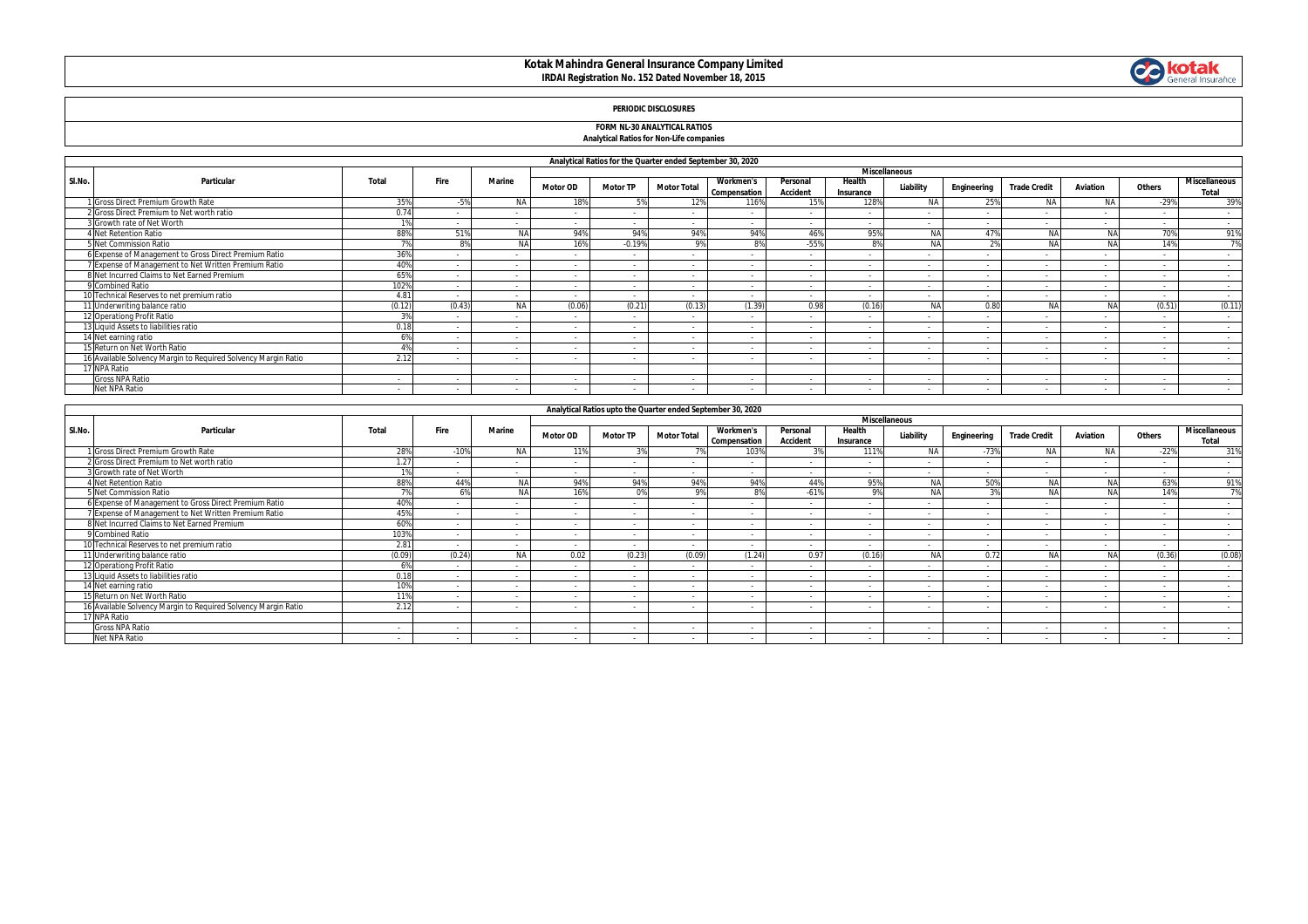# **Kotak Mahindra General Insurance Company Limited IRDAI Registration No. 152 Dated November 18, 2015**



# **PERIODIC DISCLOSURES**

### **FORM NL-30 ANALYTICAL RATIOS Analytical Ratios for Non-Life companies**

|        | Analytical Ratios for the Quarter ended September 30, 2020     |        |        |               |                      |                 |                    |                                  |                             |                     |                          |             |                          |                |        |                                      |
|--------|----------------------------------------------------------------|--------|--------|---------------|----------------------|-----------------|--------------------|----------------------------------|-----------------------------|---------------------|--------------------------|-------------|--------------------------|----------------|--------|--------------------------------------|
|        |                                                                |        |        |               | <b>Miscellaneous</b> |                 |                    |                                  |                             |                     |                          |             |                          |                |        |                                      |
| SI.No. | Particular                                                     | Total  | Fire   | <b>Marine</b> | <b>Motor OD</b>      | <b>Motor TP</b> | <b>Motor Total</b> | <b>Workmen's</b><br>Compensation | Personal<br><b>Accident</b> | Health<br>Insurance | Liability                | Engineering | <b>Trade Credit</b>      | Aviation       | Others | <b>Miscellaneous</b><br><b>Total</b> |
|        | I Gross Direct Premium Growth Rate                             | 359    |        | <b>NA</b>     | 189                  |                 | 12%                | 116%                             | 15%                         | 128%                | <b>NA</b>                | 25%         | N/                       | <b>NA</b>      | $-29%$ | 39%                                  |
|        | 2 Gross Direct Premium to Net worth ratio                      | 0.74   |        |               |                      |                 |                    |                                  |                             |                     |                          |             |                          |                |        | $\sim$                               |
|        | 3 Growth rate of Net Worth                                     | 10/    |        |               | $\sim$               | $\sim$          | . .                | $\sim$                           |                             | $\sim$              |                          | $\sim$      | $\overline{a}$           | $\overline{a}$ |        | $\sim$                               |
|        | <b>Net Retention Ratio</b>                                     | 88%    | 51%    | <b>NA</b>     | 94%                  | 94%             | 94%                | 94%                              | 46%                         | 95%                 | <b>NA</b>                | 47%         | NA                       | <b>NA</b>      | 70%    | 91%                                  |
|        | 5 Net Commission Ratio                                         |        |        | <b>NA</b>     | 16%                  | $-0.19%$        | 9%                 | 8%                               | $-55%$                      | 8%                  |                          |             | NA                       | <b>NA</b>      | 14%    | 7%                                   |
|        | 6 Expense of Management to Gross Direct Premium Ratio          | 36%    |        |               |                      | $\sim$          |                    |                                  |                             |                     |                          |             | $\overline{\phantom{a}}$ |                |        | $\sim$                               |
|        | 7 Expense of Management to Net Written Premium Ratio           | 40%    |        |               | $\sim$               | $\sim$          |                    |                                  |                             |                     |                          | $\sim$      | $\sim$                   | $\sim$         |        | $\sim$                               |
|        | 8 Net Incurred Claims to Net Earned Premium                    | 65%    | $\sim$ |               | $\sim$               | $\sim$          | . .                | $\sim$                           |                             |                     | $\sim$                   | $\sim$      | $\sim$                   | $\sim$         | $\sim$ | $\sim$                               |
|        | 9 Combined Ratio                                               | 1029   |        |               |                      | $\sim$          |                    |                                  |                             |                     |                          |             | $\sim$                   |                |        | $\sim$                               |
|        | 10 Technical Reserves to net premium ratio                     | 4.81   | $\sim$ |               | $\sim$               | $\sim$          |                    |                                  |                             |                     |                          | $\sim$      | $\sim$                   | $\sim$         |        | $\sim$                               |
|        | 11 Underwriting balance ratio                                  | (0.12) | (0.43) | <b>NA</b>     | (0.06)               | (0.21)          | (0.13)             | (1.39)                           | 0.98                        | (0.16)              | NΔ                       | 0.80        | NA                       | NA             | (0.51) | (0.11)                               |
|        | 12 Operationg Profit Ratio                                     | 20     | $\sim$ |               | $\sim$               | $\sim$          | . .                | $\sim$                           | <b>.</b>                    | $\sim$              | $\overline{\phantom{a}}$ | $\sim$      | $\sim$                   | $\sim$         |        | $\sim$                               |
|        | 13 Liquid Assets to liabilities ratio                          | 0.18   |        |               | $\sim$               | $\sim$          |                    |                                  |                             |                     |                          |             | $\sim$                   |                |        |                                      |
|        | 14 Net earning ratio                                           | 69     |        |               |                      | $\sim$          |                    |                                  |                             |                     |                          |             | $\sim$                   |                |        | $\overline{\phantom{a}}$             |
|        | 15 Return on Net Worth Ratio                                   |        | $\sim$ |               | $\sim$               | $\sim$          | . .                | $\sim$                           |                             | $\sim$              | $\sim$                   | $\sim$      | $\sim$                   | $\sim$         | $\sim$ | $\sim$                               |
|        | 16 Available Solvency Margin to Required Solvency Margin Ratio | 2.12   |        |               | $\sim$               | $\sim$          | . .                | $\sim$                           | <b>.</b>                    | $\sim$              |                          | $\sim$      | $\overline{a}$           | $\overline{a}$ | $\sim$ | $\sim$                               |
|        | 17 NPA Ratio                                                   |        |        |               |                      |                 |                    |                                  |                             |                     |                          |             |                          |                |        |                                      |
|        | <b>Gross NPA Ratio</b>                                         |        |        |               |                      |                 |                    |                                  |                             |                     |                          |             |                          |                |        |                                      |
|        | Net NPA Ratio                                                  | $\sim$ |        |               | $\sim$               | $\sim$          |                    |                                  |                             |                     |                          | $\sim$      | $\sim$                   | $\sim$         |        |                                      |

|        | Analytical Ratios upto the Quarter ended September 30, 2020    |        |        |               |                      |                 |                    |                                  |                             |                          |            |             |                     |           |        |                        |
|--------|----------------------------------------------------------------|--------|--------|---------------|----------------------|-----------------|--------------------|----------------------------------|-----------------------------|--------------------------|------------|-------------|---------------------|-----------|--------|------------------------|
|        |                                                                |        |        |               | <b>Miscellaneous</b> |                 |                    |                                  |                             |                          |            |             |                     |           |        |                        |
| SI.No. | Particular                                                     | Total  | Fire   | <b>Marine</b> | <b>Motor OD</b>      | <b>Motor TP</b> | <b>Motor Total</b> | <b>Workmen's</b><br>Compensation | Personal<br><b>Accident</b> | Health<br>Insurance      | Liability  | Engineering | <b>Trade Credit</b> | Aviation  | Others | Miscellaneous<br>Total |
|        | 1 Gross Direct Premium Growth Rate                             | 28%    | $-10%$ | <b>NA</b>     | 11%                  | 3%              |                    | 103%                             |                             | 111%                     | <b>NA</b>  | $-73%$      | <b>NA</b>           | <b>NA</b> | $-22%$ | 31%                    |
|        | 2 Gross Direct Premium to Net worth ratio                      | 1.27   |        |               | $\sim$               | $\sim$          | <b>.</b>           |                                  |                             | $\sim$                   |            |             |                     |           |        | $\sim$                 |
|        | 3 Growth rate of Net Worth                                     | 10     | $\sim$ |               | $\sim$               | $\sim$          | $\sim$             |                                  | $\sim$                      | $\sim$                   | $\sim$     |             | $\sim$              | $\sim$    | $\sim$ | $\sim$                 |
|        | <b>Net Retention Ratio</b>                                     | 88%    | 44%    | <b>NA</b>     | 94%                  | 94%             | 94%                | 94%                              | 44%                         | 95%                      | NA         | 50%         | NA                  | NA        | 63%    | 91%                    |
|        | 5 Net Commission Ratio                                         | 70     |        | <b>NA</b>     | 16%                  | 0%              | Q <sub>0</sub>     | 8%                               | $-61%$                      | 9%                       | <b>NA</b>  | 3%          | <b>NA</b>           | <b>NA</b> | 14%    | 7%                     |
|        | 6 Expense of Management to Gross Direct Premium Ratio          | 40%    |        |               | $\sim$               | $\sim$          | $\sim$             |                                  | $\sim$                      |                          |            |             | $\sim$              |           |        | $\sim$                 |
|        | 7 Expense of Management to Net Written Premium Ratio           | 459    |        |               | $\sim$               | $\sim$          | $\sim$             |                                  | $\sim$                      |                          |            | $\sim$      | $\sim$              |           |        | $\sim$                 |
|        | 8 Net Incurred Claims to Net Earned Premium                    | 60%    |        |               | $\sim$               |                 |                    |                                  |                             |                          |            |             |                     |           |        |                        |
|        | 9 Combined Ratio                                               | 103%   | $\sim$ |               | $\sim$               | $\sim$          | $\sim$             | $\overline{\phantom{a}}$         | $\sim$                      | $\sim$                   |            | $\sim$      | $\sim$              |           | $\sim$ | $\sim$                 |
|        | 10 Technical Reserves to net premium ratio                     | 2.81   |        |               | . п.                 | $\sim$          | $\sim$             |                                  | $\sim$                      |                          |            |             |                     |           |        |                        |
|        | 11 Underwriting balance ratio                                  | (0.09) | (0.24) | <b>NA</b>     | 0.02                 | (0.23)          | (0.09)             | (1.24)                           | 0.97                        | (0.16)                   | <b>AIA</b> | 0.72        | <b>AIA</b>          | NA        | (0.36) | (0.08)                 |
|        | 12 Operationg Profit Ratio                                     | 6%     | $\sim$ |               | $\sim$               | $\sim$          | $\sim$             |                                  | $\sim$                      | $\sim$                   |            |             | $\sim$              |           |        | $\sim$                 |
|        | 13 Liquid Assets to liabilities ratio                          | 0.18   |        |               |                      |                 | $\sim$             |                                  | $\sim$                      | $\sim$                   |            |             | $\sim$              |           | $\sim$ | $\sim$                 |
|        | 14 Net earning ratio                                           | 10%    | . .    |               | $\sim$               | $\sim$          | $\sim$             |                                  | $\sim$                      |                          |            |             |                     |           | $\sim$ | $\sim$                 |
|        | 15 Return on Net Worth Ratio                                   | 119    | $\sim$ |               | $\sim$               |                 | <b>.</b>           |                                  | $\sim$                      | $\sim$                   | $\sim$     | $\sim$      | $\sim$              |           | $\sim$ | $\sim$                 |
|        | 16 Available Solvency Margin to Reguired Solvency Margin Ratio | 2.12   |        |               |                      |                 | $\sim$             |                                  |                             |                          |            |             |                     |           |        | $\sim$                 |
|        | 17 NPA Ratio                                                   |        |        |               |                      |                 |                    |                                  |                             |                          |            |             |                     |           |        |                        |
|        | <b>Gross NPA Ratio</b>                                         | $\sim$ | $\sim$ | $\sim$        | $\sim$               | $\sim$          | $\sim$             | $\overline{\phantom{a}}$         | $\sim$                      | $\overline{\phantom{a}}$ | $\sim$     | $\sim$      | $\sim$              |           | $\sim$ | $\sim$                 |
|        | Net NPA Ratio                                                  |        |        |               |                      |                 |                    |                                  |                             |                          |            |             |                     |           |        | $\sim$                 |